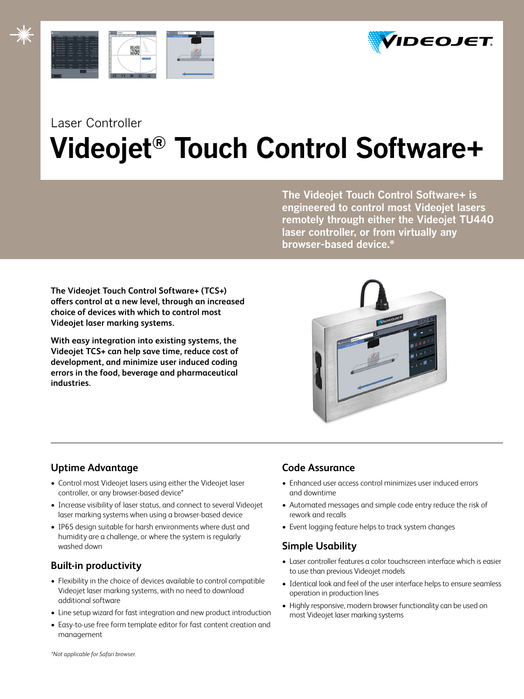



## Laser Controller **Videojet® Touch Control Software+**

**The Videojet Touch Control Software+ is engineered to control most Videojet lasers remotely through either the Videojet TU440 laser controller, or from virtually any browser-based device.\*** 

**The Videojet Touch Control Software+ (TCS+) offers control at a new level, through an increased choice of devices with which to control most Videojet laser marking systems.**

**With easy integration into existing systems, the Videojet TCS+ can help save time, reduce cost of development, and minimize user induced coding errors in the food, beverage and pharmaceutical industries.** 



## **Uptime Advantage**

- Control most Videojet lasers using either the Videojet laser controller, or any browser-based device\*
- Increase visibility of laser status, and connect to several Videojet laser marking systems when using a browser-based device
- IP65 design suitable for harsh environments where dust and humidity are a challenge, or where the system is regularly washed down

## **Built-in productivity**

- Flexibility in the choice of devices available to control compatible Videojet laser marking systems, with no need to download additional software
- Line setup wizard for fast integration and new product introduction
- Easy-to-use free form template editor for fast content creation and management

### **Code Assurance**

- Enhanced user access control minimizes user induced errors and downtime
- Automated messages and simple code entry reduce the risk of rework and recalls
- Event logging feature helps to track system changes

## **Simple Usability**

- Laser controller features a color touchscreen interface which is easier to use than previous Videojet models
- Identical look and feel of the user interface helps to ensure seamless operation in production lines
- Highly responsive, modern browser functionality can be used on most Videojet laser marking systems